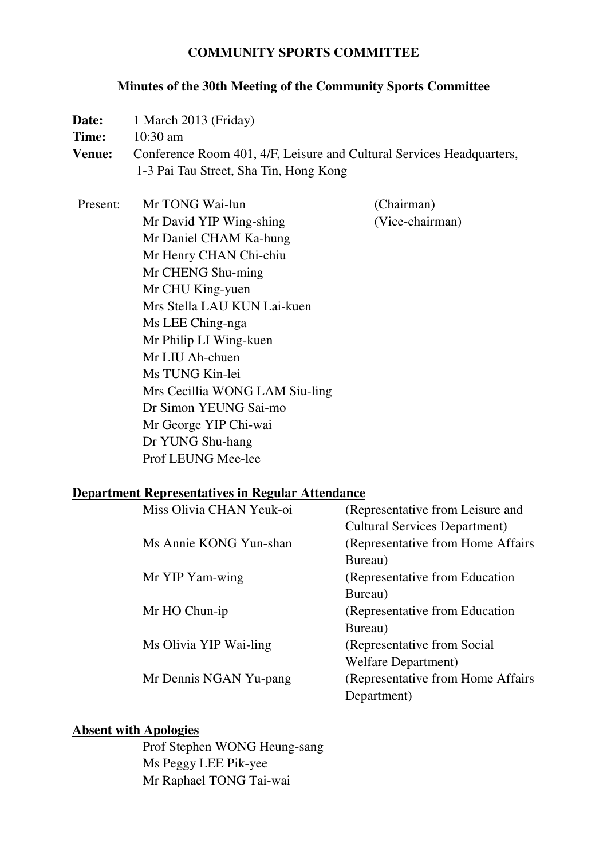### **COMMUNITY SPORTS COMMITTEE**

#### **Minutes of the 30th Meeting of the Community Sports Committee**

**Date:** 1 March 2013 (Friday) **Time:** 10:30 am **Venue:** Conference Room 401, 4/F, Leisure and Cultural Services Headquarters, 1-3 Pai Tau Street, Sha Tin, Hong Kong

Present: Mr TONG Wai-lun (Chairman) Mr David YIP Wing-shing (Vice-chairman) Mr Daniel CHAM Ka-hung Mr Henry CHAN Chi-chiu Mr CHENG Shu-ming Mr CHU King-yuen Mrs Stella LAU KUN Lai-kuen Ms LEE Ching-nga Mr Philip LI Wing-kuen Mr LIU Ah-chuen Ms TUNG Kin-lei Mrs Cecillia WONG LAM Siu-ling Dr Simon YEUNG Sai-mo Mr George YIP Chi-wai Dr YUNG Shu-hang Prof LEUNG Mee-lee

#### **Department Representatives in Regular Attendance**

| (Representative from Leisure and     |
|--------------------------------------|
| <b>Cultural Services Department)</b> |
| (Representative from Home Affairs)   |
| Bureau)                              |
| (Representative from Education)      |
| Bureau)                              |
| (Representative from Education)      |
| Bureau)                              |
| (Representative from Social)         |
| Welfare Department)                  |
| (Representative from Home Affairs)   |
| Department)                          |
|                                      |

#### **Absent with Apologies**

 Prof Stephen WONG Heung-sang Ms Peggy LEE Pik-yee Mr Raphael TONG Tai-wai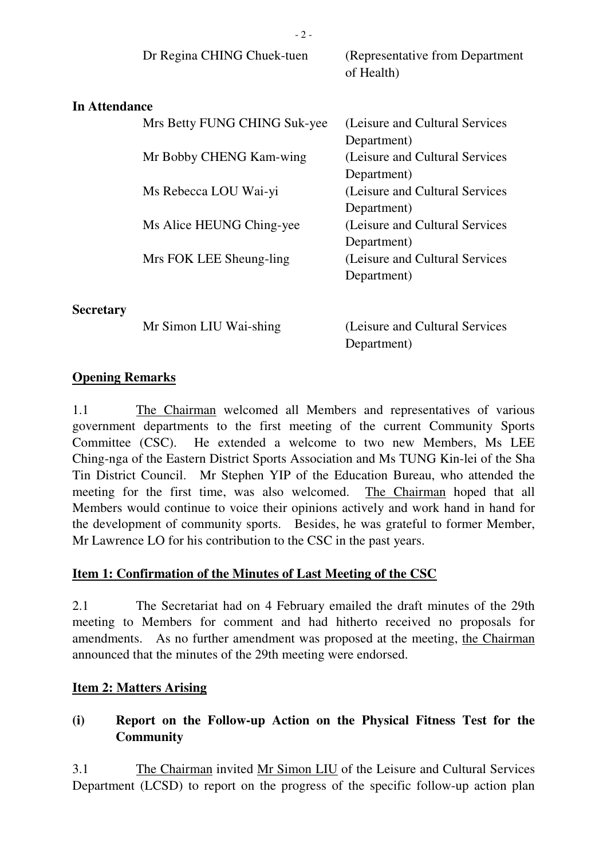|                      | Dr Regina CHING Chuek-tuen   | (Representative from Department)<br>of Health) |
|----------------------|------------------------------|------------------------------------------------|
| <b>In Attendance</b> |                              |                                                |
|                      | Mrs Betty FUNG CHING Suk-yee | (Leisure and Cultural Services)                |
|                      |                              | Department)                                    |
|                      | Mr Bobby CHENG Kam-wing      | (Leisure and Cultural Services                 |
|                      |                              | Department)                                    |
|                      | Ms Rebecca LOU Wai-yi        | (Leisure and Cultural Services                 |
|                      |                              | Department)                                    |
|                      | Ms Alice HEUNG Ching-yee     | (Leisure and Cultural Services                 |
|                      |                              | Department)                                    |
|                      | Mrs FOK LEE Sheung-ling      | (Leisure and Cultural Services)                |
|                      |                              | Department)                                    |
| Secretary            |                              |                                                |
|                      | Mr Simon LIU Wai-shing       | (Leisure and Cultural Services)                |

- 2 -

**Opening Remarks** 

1.1 The Chairman welcomed all Members and representatives of various government departments to the first meeting of the current Community Sports Committee (CSC). He extended a welcome to two new Members, Ms LEE Ching-nga of the Eastern District Sports Association and Ms TUNG Kin-lei of the Sha Tin District Council. Mr Stephen YIP of the Education Bureau, who attended the meeting for the first time, was also welcomed. The Chairman hoped that all Members would continue to voice their opinions actively and work hand in hand for the development of community sports. Besides, he was grateful to former Member, Mr Lawrence LO for his contribution to the CSC in the past years.

Department)

#### **Item 1: Confirmation of the Minutes of Last Meeting of the CSC**

2.1 The Secretariat had on 4 February emailed the draft minutes of the 29th meeting to Members for comment and had hitherto received no proposals for amendments. As no further amendment was proposed at the meeting, the Chairman announced that the minutes of the 29th meeting were endorsed.

#### **Item 2: Matters Arising**

# **(i) Report on the Follow-up Action on the Physical Fitness Test for the Community**

3.1 The Chairman invited Mr Simon LIU of the Leisure and Cultural Services Department (LCSD) to report on the progress of the specific follow-up action plan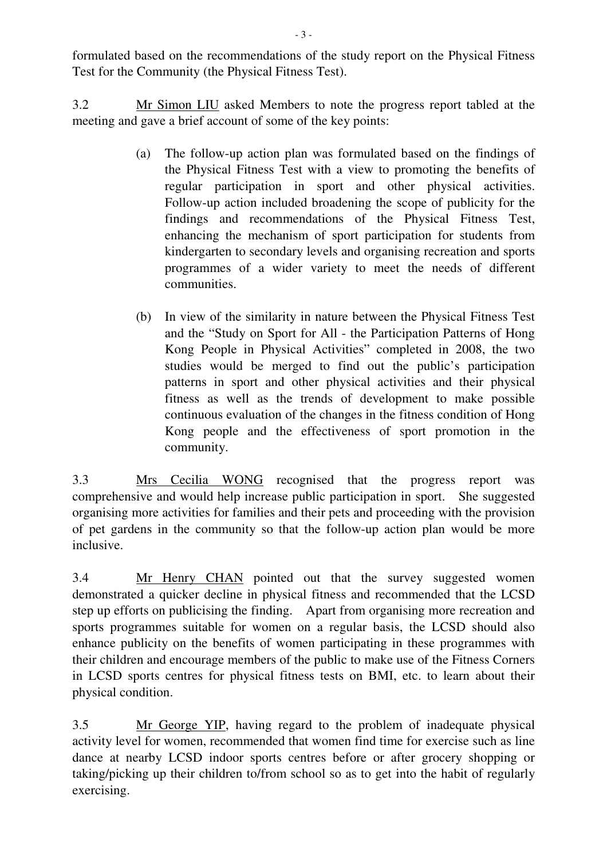formulated based on the recommendations of the study report on the Physical Fitness Test for the Community (the Physical Fitness Test).

3.2 Mr Simon LIU asked Members to note the progress report tabled at the meeting and gave a brief account of some of the key points:

- (a) The follow-up action plan was formulated based on the findings of the Physical Fitness Test with a view to promoting the benefits of regular participation in sport and other physical activities. Follow-up action included broadening the scope of publicity for the findings and recommendations of the Physical Fitness Test, enhancing the mechanism of sport participation for students from kindergarten to secondary levels and organising recreation and sports programmes of a wider variety to meet the needs of different communities.
- (b) In view of the similarity in nature between the Physical Fitness Test and the "Study on Sport for All - the Participation Patterns of Hong Kong People in Physical Activities" completed in 2008, the two studies would be merged to find out the public's participation patterns in sport and other physical activities and their physical fitness as well as the trends of development to make possible continuous evaluation of the changes in the fitness condition of Hong Kong people and the effectiveness of sport promotion in the community.

3.3 Mrs Cecilia WONG recognised that the progress report was comprehensive and would help increase public participation in sport. She suggested organising more activities for families and their pets and proceeding with the provision of pet gardens in the community so that the follow-up action plan would be more inclusive.

3.4 Mr Henry CHAN pointed out that the survey suggested women demonstrated a quicker decline in physical fitness and recommended that the LCSD step up efforts on publicising the finding. Apart from organising more recreation and sports programmes suitable for women on a regular basis, the LCSD should also enhance publicity on the benefits of women participating in these programmes with their children and encourage members of the public to make use of the Fitness Corners in LCSD sports centres for physical fitness tests on BMI, etc. to learn about their physical condition.

3.5 Mr George YIP, having regard to the problem of inadequate physical activity level for women, recommended that women find time for exercise such as line dance at nearby LCSD indoor sports centres before or after grocery shopping or taking/picking up their children to/from school so as to get into the habit of regularly exercising.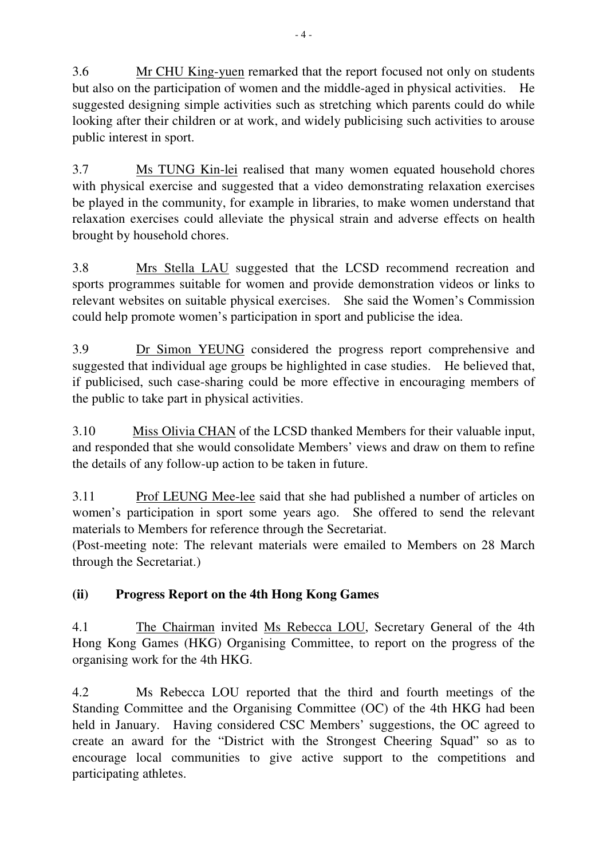3.6 Mr CHU King-yuen remarked that the report focused not only on students but also on the participation of women and the middle-aged in physical activities. He suggested designing simple activities such as stretching which parents could do while looking after their children or at work, and widely publicising such activities to arouse public interest in sport.

3.7 Ms TUNG Kin-lei realised that many women equated household chores with physical exercise and suggested that a video demonstrating relaxation exercises be played in the community, for example in libraries, to make women understand that relaxation exercises could alleviate the physical strain and adverse effects on health brought by household chores.

3.8 Mrs Stella LAU suggested that the LCSD recommend recreation and sports programmes suitable for women and provide demonstration videos or links to relevant websites on suitable physical exercises. She said the Women's Commission could help promote women's participation in sport and publicise the idea.

3.9 Dr Simon YEUNG considered the progress report comprehensive and suggested that individual age groups be highlighted in case studies. He believed that, if publicised, such case-sharing could be more effective in encouraging members of the public to take part in physical activities.

3.10 Miss Olivia CHAN of the LCSD thanked Members for their valuable input, and responded that she would consolidate Members' views and draw on them to refine the details of any follow-up action to be taken in future.

3.11 Prof LEUNG Mee-lee said that she had published a number of articles on women's participation in sport some years ago. She offered to send the relevant materials to Members for reference through the Secretariat.

(Post-meeting note: The relevant materials were emailed to Members on 28 March through the Secretariat.)

# **(ii) Progress Report on the 4th Hong Kong Games**

4.1 The Chairman invited Ms Rebecca LOU, Secretary General of the 4th Hong Kong Games (HKG) Organising Committee, to report on the progress of the organising work for the 4th HKG.

4.2 Ms Rebecca LOU reported that the third and fourth meetings of the Standing Committee and the Organising Committee (OC) of the 4th HKG had been held in January. Having considered CSC Members' suggestions, the OC agreed to create an award for the "District with the Strongest Cheering Squad" so as to encourage local communities to give active support to the competitions and participating athletes.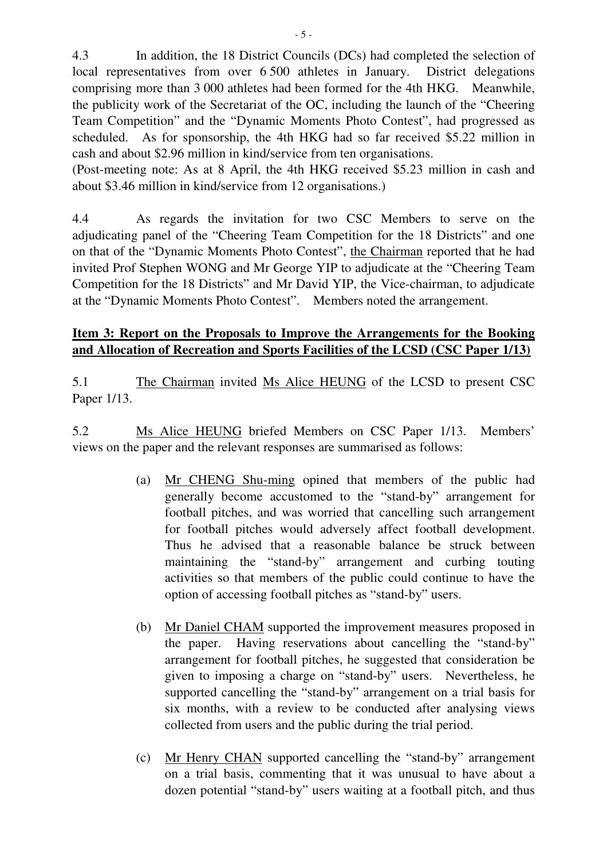4.3 In addition, the 18 District Councils (DCs) had completed the selection of local representatives from over 6 500 athletes in January. District delegations comprising more than 3 000 athletes had been formed for the 4th HKG. Meanwhile, the publicity work of the Secretariat of the OC, including the launch of the "Cheering Team Competition" and the "Dynamic Moments Photo Contest", had progressed as scheduled. As for sponsorship, the 4th HKG had so far received \$5.22 million in cash and about \$2.96 million in kind/service from ten organisations.

(Post-meeting note: As at 8 April, the 4th HKG received \$5.23 million in cash and about \$3.46 million in kind/service from 12 organisations.)

4.4 As regards the invitation for two CSC Members to serve on the adjudicating panel of the "Cheering Team Competition for the 18 Districts" and one on that of the "Dynamic Moments Photo Contest", the Chairman reported that he had invited Prof Stephen WONG and Mr George YIP to adjudicate at the "Cheering Team Competition for the 18 Districts" and Mr David YIP, the Vice-chairman, to adjudicate at the "Dynamic Moments Photo Contest". Members noted the arrangement.

### **Item 3: Report on the Proposals to Improve the Arrangements for the Booking and Allocation of Recreation and Sports Facilities of the LCSD (CSC Paper 1/13)**

5.1 The Chairman invited Ms Alice HEUNG of the LCSD to present CSC Paper 1/13.

5.2 Ms Alice HEUNG briefed Members on CSC Paper 1/13. Members' views on the paper and the relevant responses are summarised as follows:

- (a) Mr CHENG Shu-ming opined that members of the public had generally become accustomed to the "stand-by" arrangement for football pitches, and was worried that cancelling such arrangement for football pitches would adversely affect football development. Thus he advised that a reasonable balance be struck between maintaining the "stand-by" arrangement and curbing touting activities so that members of the public could continue to have the option of accessing football pitches as "stand-by" users.
- (b) Mr Daniel CHAM supported the improvement measures proposed in the paper. Having reservations about cancelling the "stand-by" arrangement for football pitches, he suggested that consideration be given to imposing a charge on "stand-by" users. Nevertheless, he supported cancelling the "stand-by" arrangement on a trial basis for six months, with a review to be conducted after analysing views collected from users and the public during the trial period.
- (c) Mr Henry CHAN supported cancelling the "stand-by" arrangement on a trial basis, commenting that it was unusual to have about a dozen potential "stand-by" users waiting at a football pitch, and thus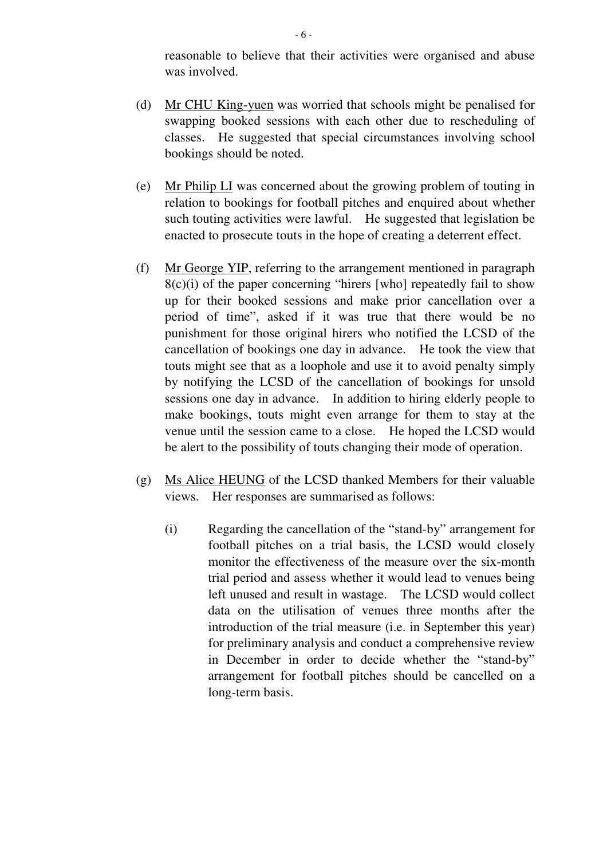reasonable to believe that their activities were organised and abuse was involved.

- (d) Mr CHU King-yuen was worried that schools might be penalised for swapping booked sessions with each other due to rescheduling of classes. He suggested that special circumstances involving school bookings should be noted.
- (e) Mr Philip LI was concerned about the growing problem of touting in relation to bookings for football pitches and enquired about whether such touting activities were lawful. He suggested that legislation be enacted to prosecute touts in the hope of creating a deterrent effect.
- (f) Mr George YIP, referring to the arrangement mentioned in paragraph  $8(c)(i)$  of the paper concerning "hirers [who] repeatedly fail to show up for their booked sessions and make prior cancellation over a period of time", asked if it was true that there would be no punishment for those original hirers who notified the LCSD of the cancellation of bookings one day in advance. He took the view that touts might see that as a loophole and use it to avoid penalty simply by notifying the LCSD of the cancellation of bookings for unsold sessions one day in advance. In addition to hiring elderly people to make bookings, touts might even arrange for them to stay at the venue until the session came to a close. He hoped the LCSD would be alert to the possibility of touts changing their mode of operation.
- (g) Ms Alice HEUNG of the LCSD thanked Members for their valuable views. Her responses are summarised as follows:
	- (i) Regarding the cancellation of the "stand-by" arrangement for football pitches on a trial basis, the LCSD would closely monitor the effectiveness of the measure over the six-month trial period and assess whether it would lead to venues being left unused and result in wastage. The LCSD would collect data on the utilisation of venues three months after the introduction of the trial measure (i.e. in September this year) for preliminary analysis and conduct a comprehensive review in December in order to decide whether the "stand-by" arrangement for football pitches should be cancelled on a long-term basis.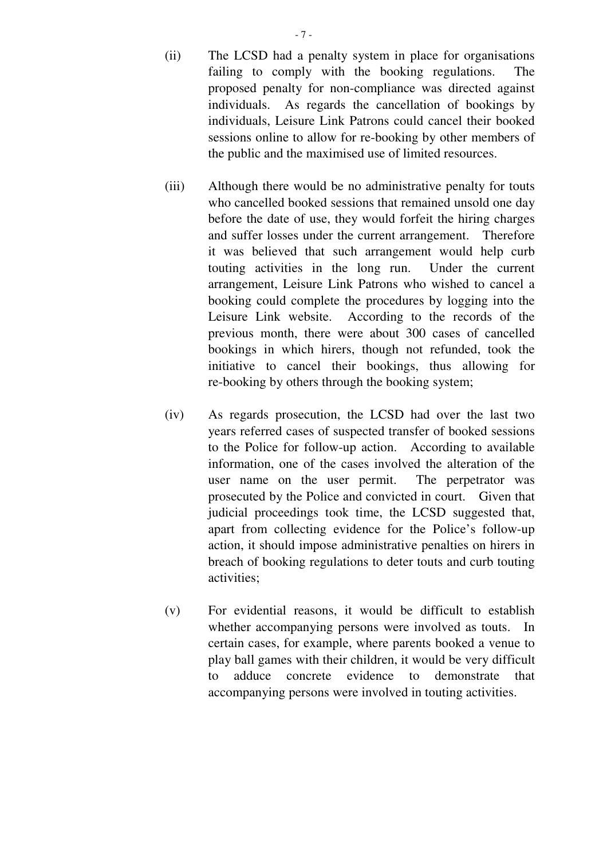- 7 -

- (ii) The LCSD had a penalty system in place for organisations failing to comply with the booking regulations. The proposed penalty for non-compliance was directed against individuals. As regards the cancellation of bookings by individuals, Leisure Link Patrons could cancel their booked sessions online to allow for re-booking by other members of the public and the maximised use of limited resources.
- (iii) Although there would be no administrative penalty for touts who cancelled booked sessions that remained unsold one day before the date of use, they would forfeit the hiring charges and suffer losses under the current arrangement. Therefore it was believed that such arrangement would help curb touting activities in the long run. Under the current arrangement, Leisure Link Patrons who wished to cancel a booking could complete the procedures by logging into the Leisure Link website. According to the records of the previous month, there were about 300 cases of cancelled bookings in which hirers, though not refunded, took the initiative to cancel their bookings, thus allowing for re-booking by others through the booking system;
- (iv) As regards prosecution, the LCSD had over the last two years referred cases of suspected transfer of booked sessions to the Police for follow-up action. According to available information, one of the cases involved the alteration of the user name on the user permit. The perpetrator was prosecuted by the Police and convicted in court. Given that judicial proceedings took time, the LCSD suggested that, apart from collecting evidence for the Police's follow-up action, it should impose administrative penalties on hirers in breach of booking regulations to deter touts and curb touting activities;
- (v) For evidential reasons, it would be difficult to establish whether accompanying persons were involved as touts. In certain cases, for example, where parents booked a venue to play ball games with their children, it would be very difficult to adduce concrete evidence to demonstrate that accompanying persons were involved in touting activities.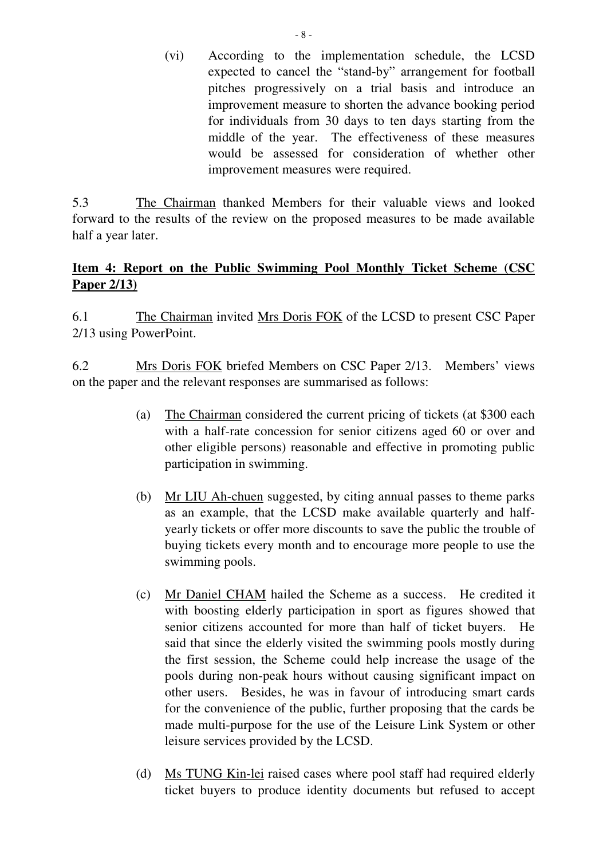(vi) According to the implementation schedule, the LCSD expected to cancel the "stand-by" arrangement for football pitches progressively on a trial basis and introduce an improvement measure to shorten the advance booking period for individuals from 30 days to ten days starting from the middle of the year. The effectiveness of these measures would be assessed for consideration of whether other improvement measures were required.

5.3 The Chairman thanked Members for their valuable views and looked forward to the results of the review on the proposed measures to be made available half a year later.

# **Item 4: Report on the Public Swimming Pool Monthly Ticket Scheme (CSC Paper 2/13)**

6.1 The Chairman invited Mrs Doris FOK of the LCSD to present CSC Paper 2/13 using PowerPoint.

6.2 Mrs Doris FOK briefed Members on CSC Paper 2/13. Members' views on the paper and the relevant responses are summarised as follows:

- (a) The Chairman considered the current pricing of tickets (at \$300 each with a half-rate concession for senior citizens aged 60 or over and other eligible persons) reasonable and effective in promoting public participation in swimming.
- (b) Mr LIU Ah-chuen suggested, by citing annual passes to theme parks as an example, that the LCSD make available quarterly and halfyearly tickets or offer more discounts to save the public the trouble of buying tickets every month and to encourage more people to use the swimming pools.
- (c) Mr Daniel CHAM hailed the Scheme as a success. He credited it with boosting elderly participation in sport as figures showed that senior citizens accounted for more than half of ticket buyers. He said that since the elderly visited the swimming pools mostly during the first session, the Scheme could help increase the usage of the pools during non-peak hours without causing significant impact on other users. Besides, he was in favour of introducing smart cards for the convenience of the public, further proposing that the cards be made multi-purpose for the use of the Leisure Link System or other leisure services provided by the LCSD.
- (d) Ms TUNG Kin-lei raised cases where pool staff had required elderly ticket buyers to produce identity documents but refused to accept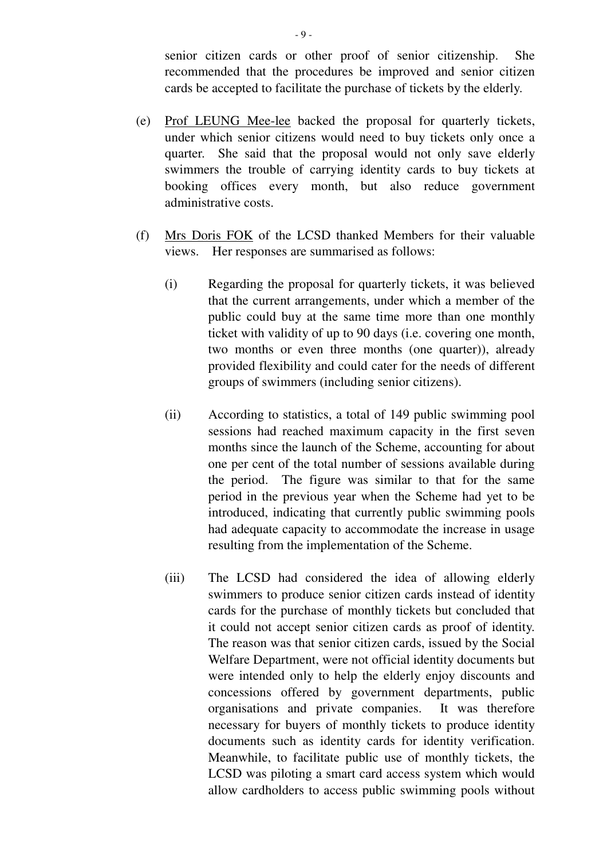senior citizen cards or other proof of senior citizenship. She recommended that the procedures be improved and senior citizen cards be accepted to facilitate the purchase of tickets by the elderly.

- (e) Prof LEUNG Mee-lee backed the proposal for quarterly tickets, under which senior citizens would need to buy tickets only once a quarter. She said that the proposal would not only save elderly swimmers the trouble of carrying identity cards to buy tickets at booking offices every month, but also reduce government administrative costs.
- (f) Mrs Doris FOK of the LCSD thanked Members for their valuable views. Her responses are summarised as follows:
	- (i) Regarding the proposal for quarterly tickets, it was believed that the current arrangements, under which a member of the public could buy at the same time more than one monthly ticket with validity of up to 90 days (i.e. covering one month, two months or even three months (one quarter)), already provided flexibility and could cater for the needs of different groups of swimmers (including senior citizens).
	- (ii) According to statistics, a total of 149 public swimming pool sessions had reached maximum capacity in the first seven months since the launch of the Scheme, accounting for about one per cent of the total number of sessions available during the period. The figure was similar to that for the same period in the previous year when the Scheme had yet to be introduced, indicating that currently public swimming pools had adequate capacity to accommodate the increase in usage resulting from the implementation of the Scheme.
	- (iii) The LCSD had considered the idea of allowing elderly swimmers to produce senior citizen cards instead of identity cards for the purchase of monthly tickets but concluded that it could not accept senior citizen cards as proof of identity. The reason was that senior citizen cards, issued by the Social Welfare Department, were not official identity documents but were intended only to help the elderly enjoy discounts and concessions offered by government departments, public organisations and private companies. It was therefore necessary for buyers of monthly tickets to produce identity documents such as identity cards for identity verification. Meanwhile, to facilitate public use of monthly tickets, the LCSD was piloting a smart card access system which would allow cardholders to access public swimming pools without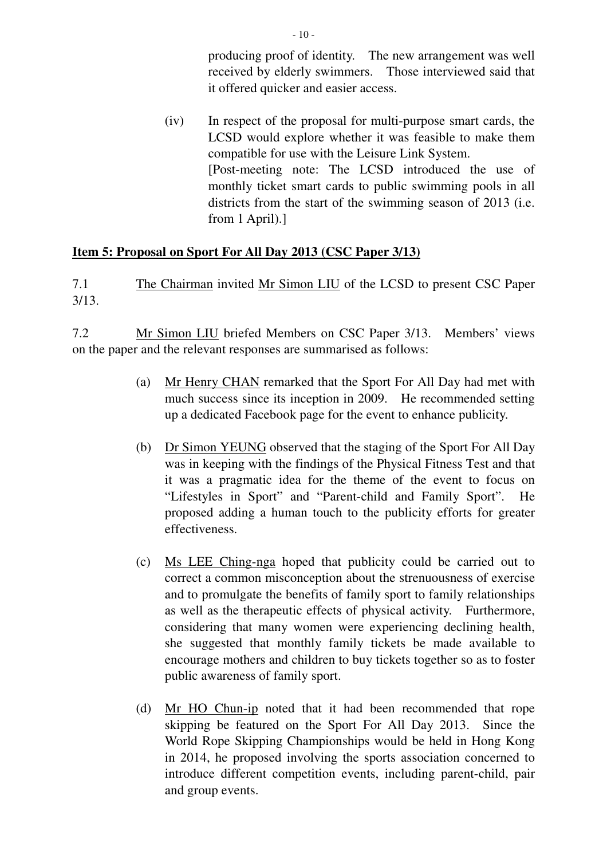producing proof of identity. The new arrangement was well received by elderly swimmers. Those interviewed said that it offered quicker and easier access.

(iv) In respect of the proposal for multi-purpose smart cards, the LCSD would explore whether it was feasible to make them compatible for use with the Leisure Link System. [Post-meeting note: The LCSD introduced the use of monthly ticket smart cards to public swimming pools in all districts from the start of the swimming season of 2013 (i.e. from 1 April).]

### **Item 5: Proposal on Sport For All Day 2013 (CSC Paper 3/13)**

7.1 The Chairman invited Mr Simon LIU of the LCSD to present CSC Paper 3/13.

7.2 Mr Simon LIU briefed Members on CSC Paper 3/13. Members' views on the paper and the relevant responses are summarised as follows:

- (a) Mr Henry CHAN remarked that the Sport For All Day had met with much success since its inception in 2009. He recommended setting up a dedicated Facebook page for the event to enhance publicity.
- (b) Dr Simon YEUNG observed that the staging of the Sport For All Day was in keeping with the findings of the Physical Fitness Test and that it was a pragmatic idea for the theme of the event to focus on "Lifestyles in Sport" and "Parent-child and Family Sport". He proposed adding a human touch to the publicity efforts for greater effectiveness.
- (c) Ms LEE Ching-nga hoped that publicity could be carried out to correct a common misconception about the strenuousness of exercise and to promulgate the benefits of family sport to family relationships as well as the therapeutic effects of physical activity. Furthermore, considering that many women were experiencing declining health, she suggested that monthly family tickets be made available to encourage mothers and children to buy tickets together so as to foster public awareness of family sport.
- (d) Mr HO Chun-ip noted that it had been recommended that rope skipping be featured on the Sport For All Day 2013. Since the World Rope Skipping Championships would be held in Hong Kong in 2014, he proposed involving the sports association concerned to introduce different competition events, including parent-child, pair and group events.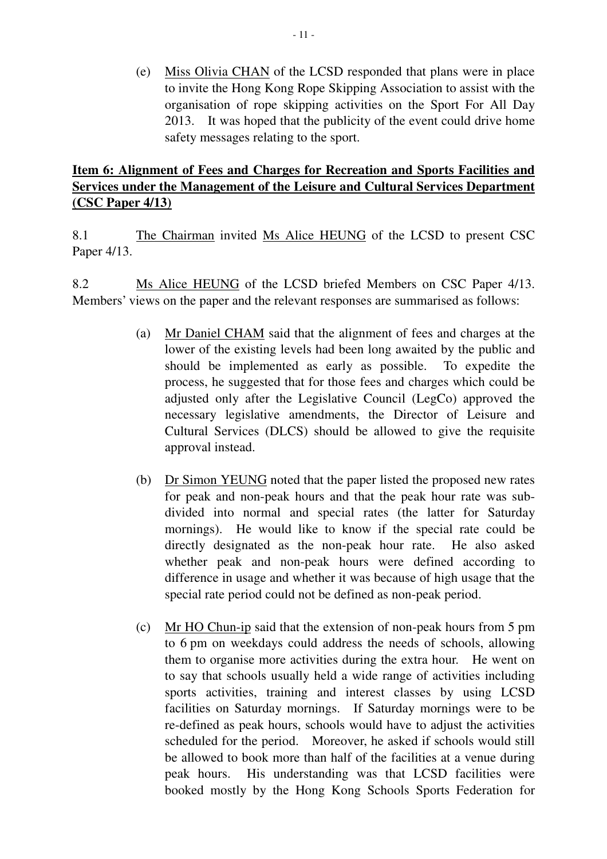(e) Miss Olivia CHAN of the LCSD responded that plans were in place to invite the Hong Kong Rope Skipping Association to assist with the organisation of rope skipping activities on the Sport For All Day 2013. It was hoped that the publicity of the event could drive home safety messages relating to the sport.

# **Item 6: Alignment of Fees and Charges for Recreation and Sports Facilities and Services under the Management of the Leisure and Cultural Services Department (CSC Paper 4/13)**

8.1 The Chairman invited Ms Alice HEUNG of the LCSD to present CSC Paper 4/13.

8.2 Ms Alice HEUNG of the LCSD briefed Members on CSC Paper 4/13. Members' views on the paper and the relevant responses are summarised as follows:

- (a) Mr Daniel CHAM said that the alignment of fees and charges at the lower of the existing levels had been long awaited by the public and should be implemented as early as possible. To expedite the process, he suggested that for those fees and charges which could be adjusted only after the Legislative Council (LegCo) approved the necessary legislative amendments, the Director of Leisure and Cultural Services (DLCS) should be allowed to give the requisite approval instead.
- (b) Dr Simon YEUNG noted that the paper listed the proposed new rates for peak and non-peak hours and that the peak hour rate was subdivided into normal and special rates (the latter for Saturday mornings). He would like to know if the special rate could be directly designated as the non-peak hour rate. He also asked whether peak and non-peak hours were defined according to difference in usage and whether it was because of high usage that the special rate period could not be defined as non-peak period.
- (c) Mr HO Chun-ip said that the extension of non-peak hours from 5 pm to 6 pm on weekdays could address the needs of schools, allowing them to organise more activities during the extra hour. He went on to say that schools usually held a wide range of activities including sports activities, training and interest classes by using LCSD facilities on Saturday mornings. If Saturday mornings were to be re-defined as peak hours, schools would have to adjust the activities scheduled for the period. Moreover, he asked if schools would still be allowed to book more than half of the facilities at a venue during peak hours. His understanding was that LCSD facilities were booked mostly by the Hong Kong Schools Sports Federation for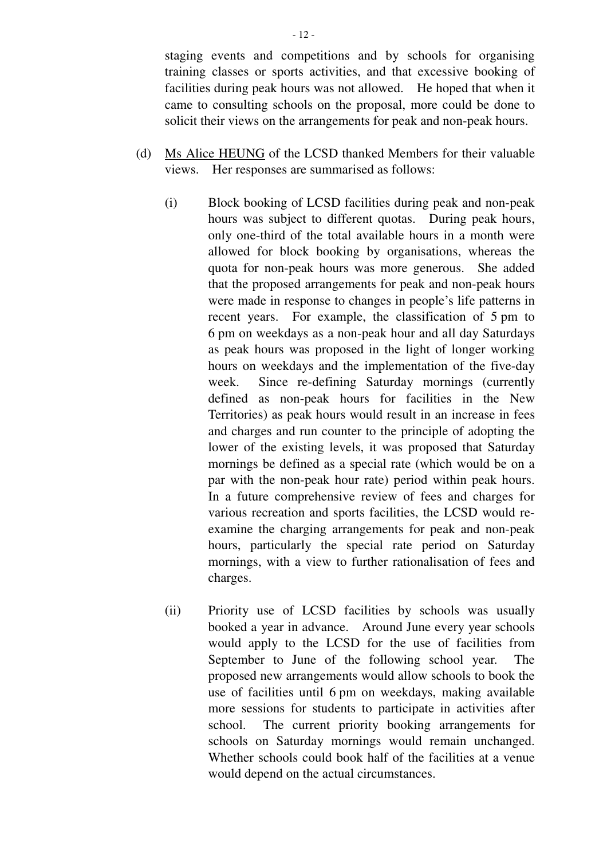staging events and competitions and by schools for organising training classes or sports activities, and that excessive booking of facilities during peak hours was not allowed. He hoped that when it came to consulting schools on the proposal, more could be done to solicit their views on the arrangements for peak and non-peak hours.

- (d) Ms Alice HEUNG of the LCSD thanked Members for their valuable views. Her responses are summarised as follows:
	- (i) Block booking of LCSD facilities during peak and non-peak hours was subject to different quotas. During peak hours, only one-third of the total available hours in a month were allowed for block booking by organisations, whereas the quota for non-peak hours was more generous. She added that the proposed arrangements for peak and non-peak hours were made in response to changes in people's life patterns in recent years. For example, the classification of 5 pm to 6 pm on weekdays as a non-peak hour and all day Saturdays as peak hours was proposed in the light of longer working hours on weekdays and the implementation of the five-day week. Since re-defining Saturday mornings (currently defined as non-peak hours for facilities in the New Territories) as peak hours would result in an increase in fees and charges and run counter to the principle of adopting the lower of the existing levels, it was proposed that Saturday mornings be defined as a special rate (which would be on a par with the non-peak hour rate) period within peak hours. In a future comprehensive review of fees and charges for various recreation and sports facilities, the LCSD would reexamine the charging arrangements for peak and non-peak hours, particularly the special rate period on Saturday mornings, with a view to further rationalisation of fees and charges.
	- (ii) Priority use of LCSD facilities by schools was usually booked a year in advance. Around June every year schools would apply to the LCSD for the use of facilities from September to June of the following school year. The proposed new arrangements would allow schools to book the use of facilities until 6 pm on weekdays, making available more sessions for students to participate in activities after school. The current priority booking arrangements for schools on Saturday mornings would remain unchanged. Whether schools could book half of the facilities at a venue would depend on the actual circumstances.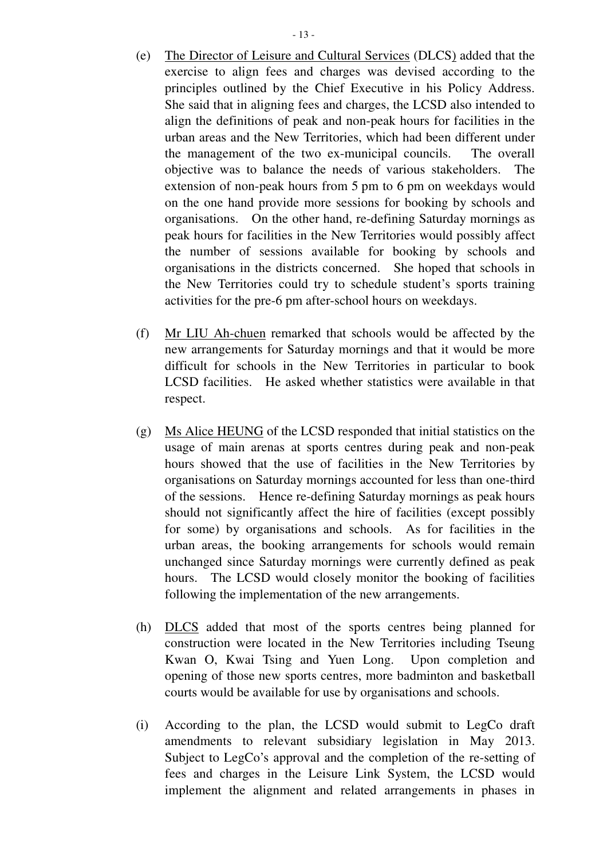- (e) The Director of Leisure and Cultural Services (DLCS) added that the exercise to align fees and charges was devised according to the principles outlined by the Chief Executive in his Policy Address. She said that in aligning fees and charges, the LCSD also intended to align the definitions of peak and non-peak hours for facilities in the urban areas and the New Territories, which had been different under the management of the two ex-municipal councils. The overall objective was to balance the needs of various stakeholders. The extension of non-peak hours from 5 pm to 6 pm on weekdays would on the one hand provide more sessions for booking by schools and organisations. On the other hand, re-defining Saturday mornings as peak hours for facilities in the New Territories would possibly affect the number of sessions available for booking by schools and organisations in the districts concerned. She hoped that schools in the New Territories could try to schedule student's sports training activities for the pre-6 pm after-school hours on weekdays.
- (f) Mr LIU Ah-chuen remarked that schools would be affected by the new arrangements for Saturday mornings and that it would be more difficult for schools in the New Territories in particular to book LCSD facilities. He asked whether statistics were available in that respect.
- (g) Ms Alice HEUNG of the LCSD responded that initial statistics on the usage of main arenas at sports centres during peak and non-peak hours showed that the use of facilities in the New Territories by organisations on Saturday mornings accounted for less than one-third of the sessions. Hence re-defining Saturday mornings as peak hours should not significantly affect the hire of facilities (except possibly for some) by organisations and schools. As for facilities in the urban areas, the booking arrangements for schools would remain unchanged since Saturday mornings were currently defined as peak hours. The LCSD would closely monitor the booking of facilities following the implementation of the new arrangements.
- (h) DLCS added that most of the sports centres being planned for construction were located in the New Territories including Tseung Kwan O, Kwai Tsing and Yuen Long. Upon completion and opening of those new sports centres, more badminton and basketball courts would be available for use by organisations and schools.
- (i) According to the plan, the LCSD would submit to LegCo draft amendments to relevant subsidiary legislation in May 2013. Subject to LegCo's approval and the completion of the re-setting of fees and charges in the Leisure Link System, the LCSD would implement the alignment and related arrangements in phases in